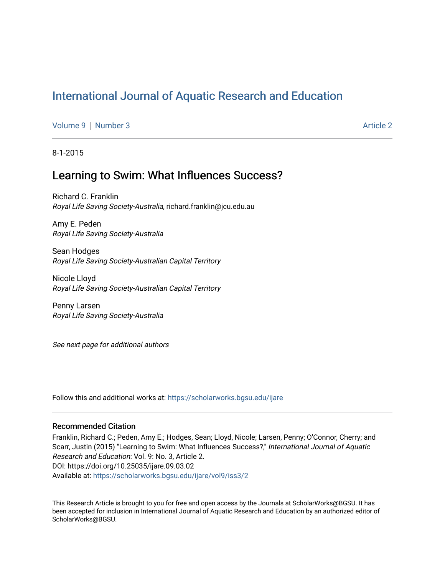# [International Journal of Aquatic Research and Education](https://scholarworks.bgsu.edu/ijare)

[Volume 9](https://scholarworks.bgsu.edu/ijare/vol9) | [Number 3](https://scholarworks.bgsu.edu/ijare/vol9/iss3) Article 2

8-1-2015

# Learning to Swim: What Influences Success?

Richard C. Franklin Royal Life Saving Society-Australia, richard.franklin@jcu.edu.au

Amy E. Peden Royal Life Saving Society-Australia

Sean Hodges Royal Life Saving Society-Australian Capital Territory

Nicole Lloyd Royal Life Saving Society-Australian Capital Territory

Penny Larsen Royal Life Saving Society-Australia

See next page for additional authors

Follow this and additional works at: [https://scholarworks.bgsu.edu/ijare](https://scholarworks.bgsu.edu/ijare?utm_source=scholarworks.bgsu.edu%2Fijare%2Fvol9%2Fiss3%2F2&utm_medium=PDF&utm_campaign=PDFCoverPages) 

#### Recommended Citation

Franklin, Richard C.; Peden, Amy E.; Hodges, Sean; Lloyd, Nicole; Larsen, Penny; O'Connor, Cherry; and Scarr, Justin (2015) "Learning to Swim: What Influences Success?," International Journal of Aquatic Research and Education: Vol. 9: No. 3, Article 2. DOI: https://doi.org/10.25035/ijare.09.03.02 Available at: [https://scholarworks.bgsu.edu/ijare/vol9/iss3/2](https://scholarworks.bgsu.edu/ijare/vol9/iss3/2?utm_source=scholarworks.bgsu.edu%2Fijare%2Fvol9%2Fiss3%2F2&utm_medium=PDF&utm_campaign=PDFCoverPages) 

This Research Article is brought to you for free and open access by the Journals at ScholarWorks@BGSU. It has been accepted for inclusion in International Journal of Aquatic Research and Education by an authorized editor of ScholarWorks@BGSU.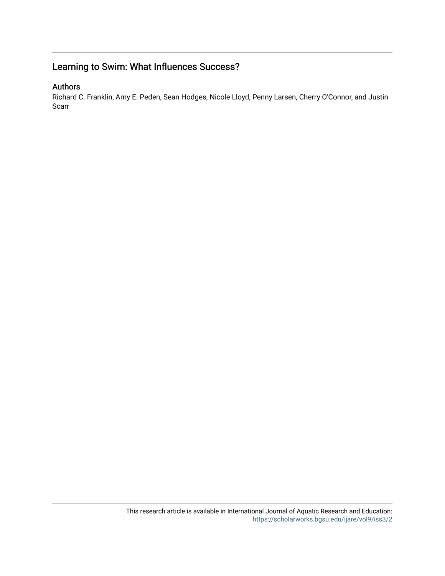# Learning to Swim: What Influences Success?

## Authors

Richard C. Franklin, Amy E. Peden, Sean Hodges, Nicole Lloyd, Penny Larsen, Cherry O'Connor, and Justin Scarr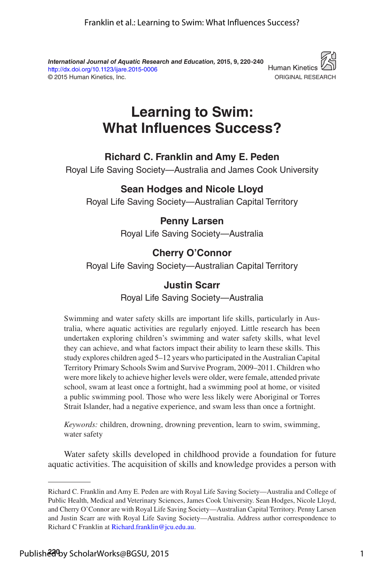*International Journal of Aquatic Research and Education,* **2015, 9, 220 -240** http://dx.doi.org/10.1123/ijare.2015-0006 © 2015 Human Kinetics, Inc.



# **Learning to Swim: What Influences Success?**

#### **Richard C. Franklin and Amy E. Peden**

Royal Life Saving Society—Australia and James Cook University

#### **Sean Hodges and Nicole Lloyd**

Royal Life Saving Society—Australian Capital Territory

## **Penny Larsen**

Royal Life Saving Society—Australia

## **Cherry O'Connor**

Royal Life Saving Society—Australian Capital Territory

#### **Justin Scarr**

Royal Life Saving Society—Australia

Swimming and water safety skills are important life skills, particularly in Australia, where aquatic activities are regularly enjoyed. Little research has been undertaken exploring children's swimming and water safety skills, what level they can achieve, and what factors impact their ability to learn these skills. This study explores children aged 5–12 years who participated in the Australian Capital Territory Primary Schools Swim and Survive Program, 2009–2011. Children who were more likely to achieve higher levels were older, were female, attended private school, swam at least once a fortnight, had a swimming pool at home, or visited a public swimming pool. Those who were less likely were Aboriginal or Torres Strait Islander, had a negative experience, and swam less than once a fortnight.

*Keywords:* children, drowning, drowning prevention, learn to swim, swimming, water safety

Water safety skills developed in childhood provide a foundation for future aquatic activities. The acquisition of skills and knowledge provides a person with

Richard C. Franklin and Amy E. Peden are with Royal Life Saving Society—Australia and College of Public Health, Medical and Veterinary Sciences, James Cook University. Sean Hodges, Nicole Lloyd, and Cherry O'Connor are with Royal Life Saving Society—Australian Capital Territory. Penny Larsen and Justin Scarr are with Royal Life Saving Society—Australia. Address author correspondence to Richard C Franklin at Richard.franklin@jcu.edu.au.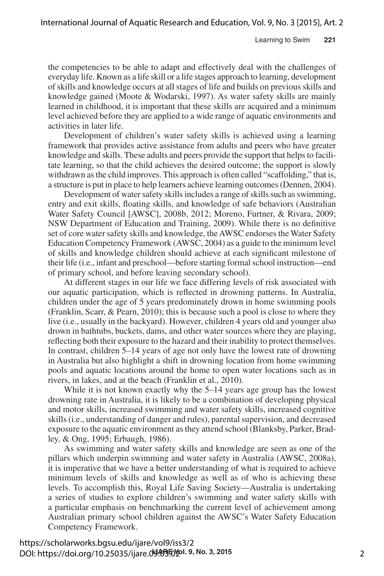the competencies to be able to adapt and effectively deal with the challenges of everyday life. Known as a life skill or a life stages approach to learning, development of skills and knowledge occurs at all stages of life and builds on previous skills and knowledge gained (Moote & Wodarski, 1997). As water safety skills are mainly learned in childhood, it is important that these skills are acquired and a minimum level achieved before they are applied to a wide range of aquatic environments and activities in later life.

Development of children's water safety skills is achieved using a learning framework that provides active assistance from adults and peers who have greater knowledge and skills. These adults and peers provide the support that helps to facilitate learning, so that the child achieves the desired outcome; the support is slowly withdrawn as the child improves. This approach is often called "scaffolding," that is, a structure is put in place to help learners achieve learning outcomes (Dennen, 2004).

Development of water safety skills includes a range of skills such as swimming, entry and exit skills, floating skills, and knowledge of safe behaviors (Australian Water Safety Council [AWSC], 2008b, 2012; Moreno, Furtner, & Rivara, 2009; NSW Department of Education and Training, 2009). While there is no definitive set of core water safety skills and knowledge, the AWSC endorses the Water Safety Education Competency Framework (AWSC, 2004) as a guide to the minimum level of skills and knowledge children should achieve at each significant milestone of their life (i.e., infant and preschool—before starting formal school instruction—end of primary school, and before leaving secondary school).

At different stages in our life we face differing levels of risk associated with our aquatic participation, which is reflected in drowning patterns. In Australia, children under the age of 5 years predominately drown in home swimming pools (Franklin, Scarr, & Pearn, 2010); this is because such a pool is close to where they live (i.e., usually in the backyard). However, children 4 years old and younger also drown in bathtubs, buckets, dams, and other water sources where they are playing, reflecting both their exposure to the hazard and their inability to protect themselves. In contrast, children 5–14 years of age not only have the lowest rate of drowning in Australia but also highlight a shift in drowning location from home swimming pools and aquatic locations around the home to open water locations such as in rivers, in lakes, and at the beach (Franklin et al., 2010).

While it is not known exactly why the 5–14 years age group has the lowest drowning rate in Australia, it is likely to be a combination of developing physical and motor skills, increased swimming and water safety skills, increased cognitive skills (i.e., understanding of danger and rules), parental supervision, and decreased exposure to the aquatic environment as they attend school (Blanksby, Parker, Bradley, & Ong, 1995; Erbaugh, 1986).

As swimming and water safety skills and knowledge are seen as one of the pillars which underpin swimming and water safety in Australia (AWSC, 2008a), it is imperative that we have a better understanding of what is required to achieve minimum levels of skills and knowledge as well as of who is achieving these levels. To accomplish this, Royal Life Saving Society—Australia is undertaking a series of studies to explore children's swimming and water safety skills with a particular emphasis on benchmarking the current level of achievement among Australian primary school children against the AWSC's Water Safety Education Competency Framework.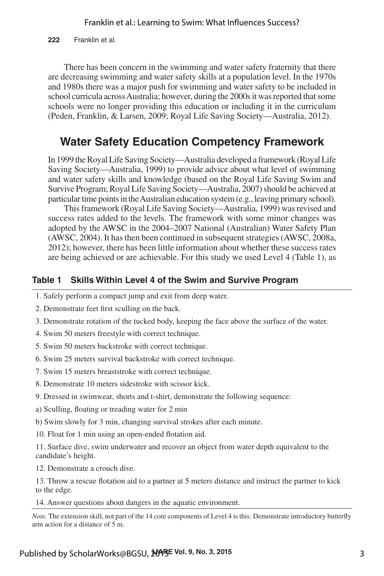**222** Franklin et al.

There has been concern in the swimming and water safety fraternity that there are decreasing swimming and water safety skills at a population level. In the 1970s and 1980s there was a major push for swimming and water safety to be included in school curricula across Australia; however, during the 2000s it was reported that some schools were no longer providing this education or including it in the curriculum (Peden, Franklin, & Larsen, 2009; Royal Life Saving Society—Australia, 2012).

## **Water Safety Education Competency Framework**

In 1999 the Royal Life Saving Society—Australia developed a framework (Royal Life Saving Society—Australia, 1999) to provide advice about what level of swimming and water safety skills and knowledge (based on the Royal Life Saving Swim and Survive Program; Royal Life Saving Society—Australia, 2007) should be achieved at particular time points in the Australian education system (e.g., leaving primary school).

This framework (Royal Life Saving Society—Australia, 1999) was revised and success rates added to the levels. The framework with some minor changes was adopted by the AWSC in the 2004–2007 National (Australian) Water Safety Plan (AWSC, 2004). It has then been continued in subsequent strategies (AWSC, 2008a, 2012); however, there has been little information about whether these success rates are being achieved or are achievable. For this study we used Level 4 (Table 1), as

#### **Table 1 Skills Within Level 4 of the Swim and Survive Program**

- 1. Safely perform a compact jump and exit from deep water.
- 2. Demonstrate feet first sculling on the back.
- 3. Demonstrate rotation of the tucked body, keeping the face above the surface of the water.
- 4. Swim 50 meters freestyle with correct technique.
- 5. Swim 50 meters backstroke with correct technique.
- 6. Swim 25 meters survival backstroke with correct technique.
- 7. Swim 15 meters breaststroke with correct technique.
- 8. Demonstrate 10 meters sidestroke with scissor kick.
- 9. Dressed in swimwear, shorts and t-shirt, demonstrate the following sequence:
- a) Sculling, floating or treading water for 2 min
- b) Swim slowly for 3 min, changing survival strokes after each minute.
- 10. Float for 1 min using an open-ended flotation aid.

11. Surface dive, swim underwater and recover an object from water depth equivalent to the candidate's height.

12. Demonstrate a crouch dive.

13. Throw a rescue flotation aid to a partner at 5 meters distance and instruct the partner to kick to the edge.

14. Answer questions about dangers in the aquatic environment.

*Note.* The extension skill, not part of the 14 core components of Level 4 is this: Demonstrate introductory butterfly arm action for a distance of 5 m.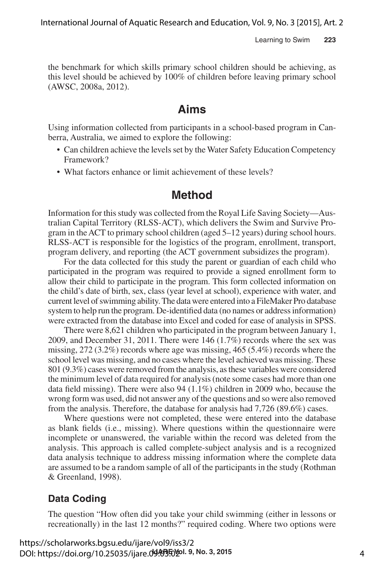the benchmark for which skills primary school children should be achieving, as this level should be achieved by 100% of children before leaving primary school (AWSC, 2008a, 2012).

#### **Aims**

Using information collected from participants in a school-based program in Canberra, Australia, we aimed to explore the following:

- Can children achieve the levels set by the Water Safety Education Competency Framework?
- What factors enhance or limit achievement of these levels?

#### **Method**

Information for this study was collected from the Royal Life Saving Society—Australian Capital Territory (RLSS-ACT), which delivers the Swim and Survive Program in the ACT to primary school children (aged 5–12 years) during school hours. RLSS-ACT is responsible for the logistics of the program, enrollment, transport, program delivery, and reporting (the ACT government subsidizes the program).

For the data collected for this study the parent or guardian of each child who participated in the program was required to provide a signed enrollment form to allow their child to participate in the program. This form collected information on the child's date of birth, sex, class (year level at school), experience with water, and current level of swimming ability. The data were entered into a FileMaker Pro database system to help run the program. De-identified data (no names or address information) were extracted from the database into Excel and coded for ease of analysis in SPSS.

There were 8,621 children who participated in the program between January 1, 2009, and December 31, 2011. There were 146 (1.7%) records where the sex was missing, 272 (3.2%) records where age was missing, 465 (5.4%) records where the school level was missing, and no cases where the level achieved was missing. These 801 (9.3%) cases were removed from the analysis, as these variables were considered the minimum level of data required for analysis (note some cases had more than one data field missing). There were also 94 (1.1%) children in 2009 who, because the wrong form was used, did not answer any of the questions and so were also removed from the analysis. Therefore, the database for analysis had 7,726 (89.6%) cases.

Where questions were not completed, these were entered into the database as blank fields (i.e., missing). Where questions within the questionnaire were incomplete or unanswered, the variable within the record was deleted from the analysis. This approach is called complete-subject analysis and is a recognized data analysis technique to address missing information where the complete data are assumed to be a random sample of all of the participants in the study (Rothman & Greenland, 1998).

#### **Data Coding**

The question "How often did you take your child swimming (either in lessons or recreationally) in the last 12 months?" required coding. Where two options were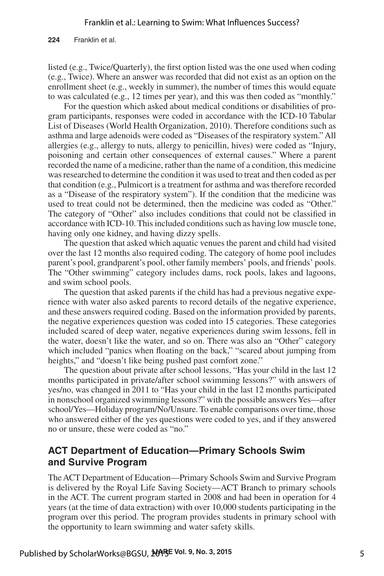**224** Franklin et al.

listed (e.g., Twice/Quarterly), the first option listed was the one used when coding (e.g., Twice). Where an answer was recorded that did not exist as an option on the enrollment sheet (e.g., weekly in summer), the number of times this would equate to was calculated (e.g., 12 times per year), and this was then coded as "monthly."

For the question which asked about medical conditions or disabilities of program participants, responses were coded in accordance with the ICD-10 Tabular List of Diseases (World Health Organization, 2010). Therefore conditions such as asthma and large adenoids were coded as "Diseases of the respiratory system." All allergies (e.g., allergy to nuts, allergy to penicillin, hives) were coded as "Injury, poisoning and certain other consequences of external causes." Where a parent recorded the name of a medicine, rather than the name of a condition, this medicine was researched to determine the condition it was used to treat and then coded as per that condition (e.g., Pulmicort is a treatment for asthma and was therefore recorded as a "Disease of the respiratory system"). If the condition that the medicine was used to treat could not be determined, then the medicine was coded as "Other." The category of "Other" also includes conditions that could not be classified in accordance with ICD-10. This included conditions such as having low muscle tone, having only one kidney, and having dizzy spells.

The question that asked which aquatic venues the parent and child had visited over the last 12 months also required coding. The category of home pool includes parent's pool, grandparent's pool, other family members' pools, and friends' pools. The "Other swimming" category includes dams, rock pools, lakes and lagoons, and swim school pools.

The question that asked parents if the child has had a previous negative experience with water also asked parents to record details of the negative experience, and these answers required coding. Based on the information provided by parents, the negative experiences question was coded into 15 categories. These categories included scared of deep water, negative experiences during swim lessons, fell in the water, doesn't like the water, and so on. There was also an "Other" category which included "panics when floating on the back," "scared about jumping from heights," and "doesn't like being pushed past comfort zone."

The question about private after school lessons, "Has your child in the last 12 months participated in private/after school swimming lessons?" with answers of yes/no, was changed in 2011 to "Has your child in the last 12 months participated in nonschool organized swimming lessons?" with the possible answers Yes—after school/Yes—Holiday program/No/Unsure. To enable comparisons over time, those who answered either of the yes questions were coded to yes, and if they answered no or unsure, these were coded as "no."

#### **ACT Department of Education—Primary Schools Swim and Survive Program**

The ACT Department of Education—Primary Schools Swim and Survive Program is delivered by the Royal Life Saving Society—ACT Branch to primary schools in the ACT. The current program started in 2008 and had been in operation for 4 years (at the time of data extraction) with over 10,000 students participating in the program over this period. The program provides students in primary school with the opportunity to learn swimming and water safety skills.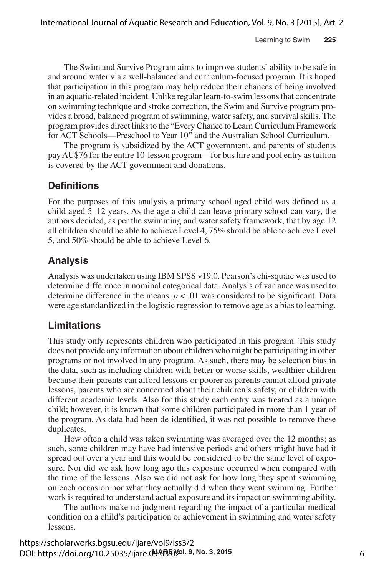The Swim and Survive Program aims to improve students' ability to be safe in and around water via a well-balanced and curriculum-focused program. It is hoped that participation in this program may help reduce their chances of being involved in an aquatic-related incident. Unlike regular learn-to-swim lessons that concentrate on swimming technique and stroke correction, the Swim and Survive program provides a broad, balanced program of swimming, water safety, and survival skills. The program provides direct links to the "Every Chance to Learn Curriculum Framework for ACT Schools—Preschool to Year 10" and the Australian School Curriculum.

The program is subsidized by the ACT government, and parents of students pay AU\$76 for the entire 10-lesson program—for bus hire and pool entry as tuition is covered by the ACT government and donations.

#### **Definitions**

For the purposes of this analysis a primary school aged child was defined as a child aged 5–12 years. As the age a child can leave primary school can vary, the authors decided, as per the swimming and water safety framework, that by age 12 all children should be able to achieve Level 4, 75% should be able to achieve Level 5, and 50% should be able to achieve Level 6.

#### **Analysis**

Analysis was undertaken using IBM SPSS v19.0. Pearson's chi-square was used to determine difference in nominal categorical data. Analysis of variance was used to determine difference in the means.  $p < .01$  was considered to be significant. Data were age standardized in the logistic regression to remove age as a bias to learning.

#### **Limitations**

This study only represents children who participated in this program. This study does not provide any information about children who might be participating in other programs or not involved in any program. As such, there may be selection bias in the data, such as including children with better or worse skills, wealthier children because their parents can afford lessons or poorer as parents cannot afford private lessons, parents who are concerned about their children's safety, or children with different academic levels. Also for this study each entry was treated as a unique child; however, it is known that some children participated in more than 1 year of the program. As data had been de-identified, it was not possible to remove these duplicates.

How often a child was taken swimming was averaged over the 12 months; as such, some children may have had intensive periods and others might have had it spread out over a year and this would be considered to be the same level of exposure. Nor did we ask how long ago this exposure occurred when compared with the time of the lessons. Also we did not ask for how long they spent swimming on each occasion nor what they actually did when they went swimming. Further work is required to understand actual exposure and its impact on swimming ability.

The authors make no judgment regarding the impact of a particular medical condition on a child's participation or achievement in swimming and water safety lessons.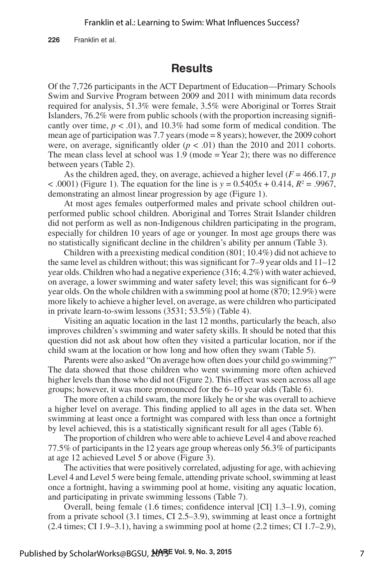**226** Franklin et al.

## **Results**

Of the 7,726 participants in the ACT Department of Education—Primary Schools Swim and Survive Program between 2009 and 2011 with minimum data records required for analysis, 51.3% were female, 3.5% were Aboriginal or Torres Strait Islanders, 76.2% were from public schools (with the proportion increasing significantly over time,  $p < .01$ ), and 10.3% had some form of medical condition. The mean age of participation was 7.7 years (mode = 8 years); however, the 2009 cohort were, on average, significantly older  $(p < .01)$  than the 2010 and 2011 cohorts. The mean class level at school was  $1.9$  (mode = Year 2); there was no difference between years (Table 2).

As the children aged, they, on average, achieved a higher level ( $F = 466.17$ , *p*  $(0.0001)$  (Figure 1). The equation for the line is  $y = 0.5405x + 0.414$ ,  $R^2 = .9967$ , demonstrating an almost linear progression by age (Figure 1).

At most ages females outperformed males and private school children outperformed public school children. Aboriginal and Torres Strait Islander children did not perform as well as non-Indigenous children participating in the program, especially for children 10 years of age or younger. In most age groups there was no statistically significant decline in the children's ability per annum (Table 3).

Children with a preexisting medical condition (801; 10.4%) did not achieve to the same level as children without; this was significant for  $7-9$  year olds and  $11-12$ year olds. Children who had a negative experience (316; 4.2%) with water achieved, on average, a lower swimming and water safety level; this was significant for 6–9 year olds. On the whole children with a swimming pool at home (870; 12.9%) were more likely to achieve a higher level, on average, as were children who participated in private learn-to-swim lessons (3531; 53.5%) (Table 4).

Visiting an aquatic location in the last 12 months, particularly the beach, also improves children's swimming and water safety skills. It should be noted that this question did not ask about how often they visited a particular location, nor if the child swam at the location or how long and how often they swam (Table 5).

Parents were also asked "On average how often does your child go swimming?" The data showed that those children who went swimming more often achieved higher levels than those who did not (Figure 2). This effect was seen across all age groups; however, it was more pronounced for the 6–10 year olds (Table 6).

The more often a child swam, the more likely he or she was overall to achieve a higher level on average. This finding applied to all ages in the data set. When swimming at least once a fortnight was compared with less than once a fortnight by level achieved, this is a statistically significant result for all ages (Table 6).

The proportion of children who were able to achieve Level 4 and above reached 77.5% of participants in the 12 years age group whereas only 56.3% of participants at age 12 achieved Level 5 or above (Figure 3).

The activities that were positively correlated, adjusting for age, with achieving Level 4 and Level 5 were being female, attending private school, swimming at least once a fortnight, having a swimming pool at home, visiting any aquatic location, and participating in private swimming lessons (Table 7).

Overall, being female (1.6 times; confidence interval [CI] 1.3–1.9), coming from a private school (3.1 times, CI 2.5–3.9), swimming at least once a fortnight  $(2.4 \text{ times}; \text{CI } 1.9-3.1)$ , having a swimming pool at home  $(2.2 \text{ times}; \text{CI } 1.7-2.9)$ ,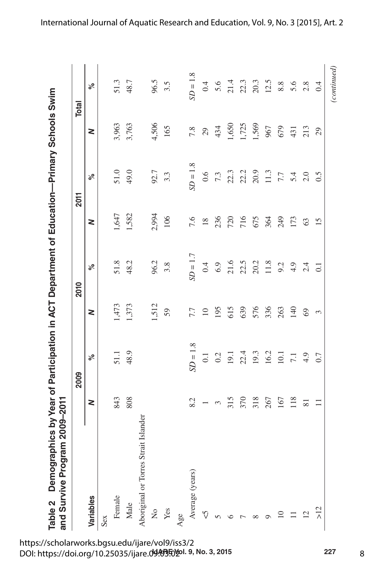| ſ             |                              |
|---------------|------------------------------|
|               |                              |
|               |                              |
| i             |                              |
|               |                              |
|               |                              |
|               |                              |
|               | <br> <br> <br> <br>TTCC CCCC |
|               |                              |
| $\frac{1}{2}$ |                              |
| Ì             |                              |
| ームト           | allac Pila                   |

|                                      |                 | 2009             |       | 2010             |                 | <b>2011</b>                                |       | <b>Total</b>                 |
|--------------------------------------|-----------------|------------------|-------|------------------|-----------------|--------------------------------------------|-------|------------------------------|
| Variables                            | Z               | ್ನೆ              | Z     | ್ನೇ              | 2               | ್ನೇ                                        | Z     | ್                            |
| Sex                                  |                 |                  |       |                  |                 |                                            |       |                              |
| Female                               | 843             | 51.1             | 1,473 | 51.8             | 1,647           | 51.0                                       | 3,963 | 51.3                         |
| Male                                 | 808             | 48.9             | 1,373 | 48.2             | 1,582           | 49.0                                       | 3,763 | 48.7                         |
| Aboriginal or Torres Strait Islander |                 |                  |       |                  |                 |                                            |       |                              |
| $\frac{1}{2}$                        |                 |                  | 1,512 | 96.2             | 2,994           | 92.7                                       | 4,506 | 96.5                         |
| Yes                                  |                 |                  | 59    | 3.8              | 106             | 3.3                                        | 165   | $3.\overline{5}$             |
| Age                                  |                 |                  |       |                  |                 |                                            |       |                              |
| Average (years)                      | 8.2             | $SD = 1.8$       | 7.7   | $SD = 1.7$       | 7.6             | $SD = 1.8$                                 | 7.8   | $SD = 1.8$                   |
| $\heartsuit$                         |                 | $\overline{0.1}$ | $10$  | 0.4              | $18\,$          | $0.6\,$                                    | 29    | $0.4\,$                      |
|                                      | 3               | 0.2              | 195   | $6.9$            | 236             |                                            | 434   | 5.6                          |
|                                      | 315             | 19.1             | 615   | 21.6             | 720             | $\begin{array}{c} 7.3 \\ 22.3 \end{array}$ | 1,650 | 21.4<br>22.3<br>20.3<br>12.5 |
|                                      | 370             | 22.4             | 639   | 22.5             | 716             | 22.2                                       | 1,725 |                              |
|                                      | 318             | 19.3             | 576   | 20.2             | 675             | 20.9                                       | 1,569 |                              |
|                                      | 267             | 16.2             | 336   | $11.8$           | 364             | $11.3$                                     | 967   |                              |
| $\supseteq$                          | 167             | 10.1             | 263   | 9.2              | 249             | $\mathcal{L} \mathcal{L}$                  | 679   | $8.8\,$                      |
|                                      | 118             | $\overline{7.1}$ | 140   | 4.9              | 173             | 5.4                                        | 431   | 5.6                          |
| $\overline{2}$                       | $\overline{81}$ | 4.9              | 69    | 2.4              | 63              | 2.0                                        | 213   | 2.8                          |
| $\frac{2}{\lambda}$                  | $\equiv$        | 0.7              | 3     | $\overline{0.1}$ | $\overline{15}$ | 0.5                                        | 29    | 0.4                          |

8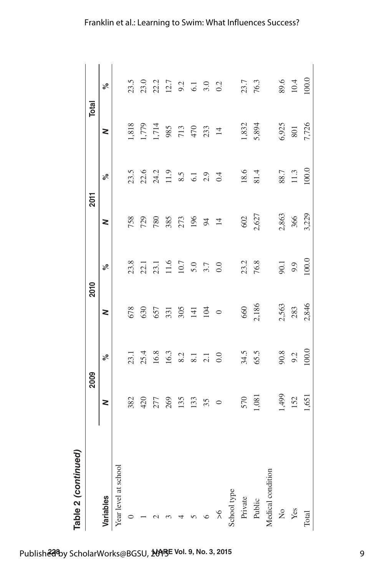|                      | 2009    |                      |              | 2010              |                | <b>2011</b>                                   |                                     | Total        |
|----------------------|---------|----------------------|--------------|-------------------|----------------|-----------------------------------------------|-------------------------------------|--------------|
| Variables            | 2       | ್ನೇ                  | 2            | ್ನೇ               | 2              | ್ನೇ                                           | 2                                   | $\delta$     |
| Year level at school |         |                      |              |                   |                |                                               |                                     |              |
|                      | 382     | 23.1                 | 678          | 23.8              | 758            | 23.5                                          | 1,818                               | 23.5         |
|                      | 420     |                      | 630          | 22.1              | 729            | 22.6                                          | 1,779                               | 23.0         |
|                      | 277     | 25.4<br>16.8<br>16.3 | 657          |                   | 780            |                                               |                                     |              |
|                      | 269     |                      | 331          | 23.1<br>11.6      | 385            |                                               |                                     |              |
|                      | 135     | 8.2                  | $305$<br>141 | 10.7              | 273            | $24.2$<br>11.9 $8.5$<br>$6.1$<br>$0.3$<br>0.4 | $1,714$<br>985<br>713<br>470<br>433 |              |
|                      | 133     | 8.1                  |              | 5.0<br>3.7<br>0.0 | 196            |                                               |                                     |              |
|                      | 35      | $2.1$<br>0.0         | 104          |                   | 94             |                                               |                                     |              |
| ጵ                    | $\circ$ |                      | $\circ$      |                   | $\overline{4}$ |                                               | $\overline{4}$                      |              |
| School type          |         |                      |              |                   |                |                                               |                                     |              |
| Private              | 570     | 34.5                 |              | 23.2              | 602            | 18.6                                          | 1,832                               | 23.7<br>76.3 |
| Public               | 1,081   | 65.5                 | 660<br>2,186 | 76.8              | 2,627          | 81.4                                          | 5,894                               |              |
| Medical condition    |         |                      |              |                   |                |                                               |                                     |              |
| $\frac{1}{2}$        | 1,499   |                      | 2,563        | 90.1              | 2,863          | 88.7                                          | 6,925                               | 89.6         |
| Yes                  | 152     | 90.8<br>9.2          | 283          | 9.9               | 366            | 11.3                                          | $801\,$                             | $10.4\,$     |
| Total                | 1,651   | 100.0                | 2,846        | 100.0             | 3,229          | 100.0                                         | 7,726                               | 100.0        |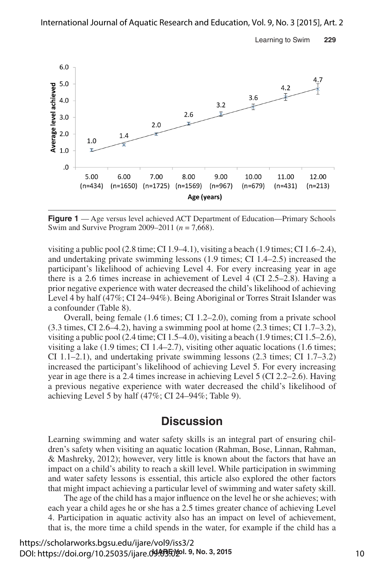Learning to Swim **229**



**Figure 1** — Age versus level achieved ACT Department of Education—Primary Schools Swim and Survive Program 2009–2011 (*n* = 7,668).

visiting a public pool  $(2.8 \text{ time}; \text{CI } 1.9-4.1)$ , visiting a beach  $(1.9 \text{ times}; \text{CI } 1.6-2.4)$ , and undertaking private swimming lessons (1.9 times; CI 1.4–2.5) increased the participant's likelihood of achieving Level 4. For every increasing year in age there is a 2.6 times increase in achievement of Level 4 (CI 2.5–2.8). Having a prior negative experience with water decreased the child's likelihood of achieving Level 4 by half (47%; CI 24–94%). Being Aboriginal or Torres Strait Islander was a confounder (Table 8).

Overall, being female (1.6 times; CI 1.2–2.0), coming from a private school  $(3.3 \text{ times}, \text{CI } 2.6-4.2)$ , having a swimming pool at home  $(2.3 \text{ times}; \text{CI } 1.7-3.2)$ , visiting a public pool  $(2.4 \text{ time}; \text{CI } 1.5–4.0)$ , visiting a beach  $(1.9 \text{ times}; \text{CI } 1.5–2.6)$ , visiting a lake (1.9 times; CI 1.4–2.7), visiting other aquatic locations (1.6 times; CI 1.1–2.1), and undertaking private swimming lessons (2.3 times; CI 1.7–3.2) increased the participant's likelihood of achieving Level 5. For every increasing year in age there is a 2.4 times increase in achieving Level 5 (CI 2.2–2.6). Having a previous negative experience with water decreased the child's likelihood of achieving Level 5 by half (47%; CI 24–94%; Table 9).

## **Discussion**

Learning swimming and water safety skills is an integral part of ensuring children's safety when visiting an aquatic location (Rahman, Bose, Linnan, Rahman, & Mashreky, 2012); however, very little is known about the factors that have an impact on a child's ability to reach a skill level. While participation in swimming and water safety lessons is essential, this article also explored the other factors that might impact achieving a particular level of swimming and water safety skill.

The age of the child has a major influence on the level he or she achieves; with each year a child ages he or she has a 2.5 times greater chance of achieving Level 4. Participation in aquatic activity also has an impact on level of achievement, that is, the more time a child spends in the water, for example if the child has a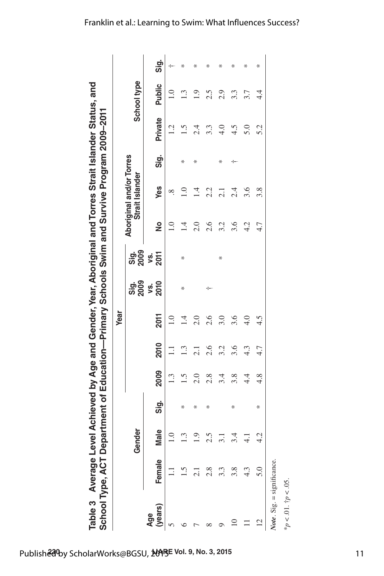|                |        |                |      |                  |                      | Year             |              |                    |               |                                             |      |             |                  |      |
|----------------|--------|----------------|------|------------------|----------------------|------------------|--------------|--------------------|---------------|---------------------------------------------|------|-------------|------------------|------|
|                |        | Gender         |      |                  |                      |                  | Sig.<br>2009 | <u>ទាំ</u><br>១០០  |               | Aboriginal and/or Torres<br>Strait Islander |      |             | School type      |      |
| (years)<br>Age | Female | Male           | Sig. | 2009             | 2010                 | 2011             | 2010<br>ys.  | <b>2011</b><br>ys. | $\frac{1}{2}$ | Yes                                         | Sig. | Private     | Public           | Sig. |
|                |        | 1.0            |      | 1.3              | $\Xi$                | $\overline{1.0}$ |              |                    | $\bar{0}$     | œ                                           |      | 1.2         | $\overline{1.0}$ | ÷    |
|                |        | 1.3            | ∗    | $\overline{1.5}$ | $\cdot$ <sup>3</sup> | $\overline{14}$  | ∗            | ₩                  | 크             | $\overline{10}$                             | ⊹    | $\tilde{S}$ | $\mathbf{C}$     | ₩    |
|                |        | $\overline{0}$ | ∗    | 2.0              | 2.1                  | 2.0              |              |                    | 2.0           | 14                                          | ₩    | 2.4         | $\overline{0}$   | ₩    |
|                |        | 2.5            | ₩    | 2.8              | 2.6                  | 2.6              | ÷            |                    | 2.6           | 2.2                                         |      | 3.3         | 2.5              | ₩    |
|                |        | 3.1            |      | 3.4              | 3.2                  | 3.0              |              | ∗                  | 3.2           | 2.1                                         | ∗    | 4.0         | 2.9              | ∗    |
|                |        | 3.4            | ₩    | 3.8              | 3.6                  | 3.6              |              |                    | 3.6           | 2.4                                         | ÷    | 4.5         | 3.3              | ₩    |
|                |        | $\frac{1}{4}$  |      | 4.4              | 4.3                  | 4.0              |              |                    | 4.2           | 3.6                                         |      | 5.0         | 3.7              | ₩    |
| $\overline{c}$ |        | 4.2            | ∗    | 4.8              | 4.7                  | 4.5              |              |                    | 4.7           | 3.8                                         |      | 5.2         | 4.4              | ₩    |

\**p* < .01. †*p* < .05.

 $*_{P} < .01.$   $\dot{\tau}_{P} < .05.$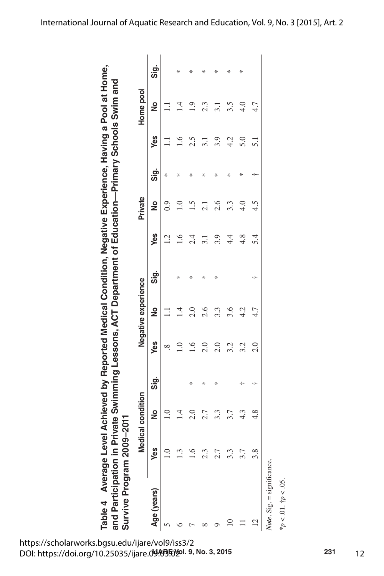Table 4 Average Level Achieved by Reported Medical Condition, Negative Experience, Having a Pool at Home,<br>and Participation in Private Swimming Lessons, ACT Department of Education—Primary Schools Swim and **Average Level Achieved by Reported Medical Condition, Negative Experience, Having a Pool at Home, and Participation in Private Swimming Lessons, ACT Department of Education—Primary Schools Swim and Survive Program 2009–2011**

| Survive Program 20 |     | 009–2011          |      |               |                     |      |     |                  |      |                  |                |      |
|--------------------|-----|-------------------|------|---------------|---------------------|------|-----|------------------|------|------------------|----------------|------|
|                    |     | ledical condition |      |               | Negative experience |      |     | Private          |      |                  | Home pool      |      |
| Age (years)        | Yes | $\frac{1}{2}$     | Sig. | Yes           | $\frac{1}{2}$       | Sig. | Yes | $\frac{1}{2}$    | Sig. | Yes              | ş              | Sig. |
|                    |     | $\frac{0}{1}$     |      | ∞ฺ            |                     |      | 1.2 | 0.9              | ₩    |                  |                |      |
|                    | Ċ.  | $\overline{1}$    |      | $\supseteq$   | 크                   | ₩    | 1.6 | $\overline{1.0}$ | ₩    | $\frac{6}{1}$    | $\overline{1}$ | ₩    |
|                    | 6.1 | 2.0               | ₩    | 1.6           | 2.0                 | ₩    | 2.4 | $\frac{5}{1}$    | ₩    | 2.5              | $\frac{0}{1}$  | ₩    |
|                    | 2.3 | 2.7               | ₩    | 2.0           | 2.6                 | ₩    | 3.1 | $\overline{2.1}$ | ℀    | 3.1              | 2.3            | ₩    |
|                    | 2.7 | 3.3               | ₩    | 2.0           | 3.3                 | ₩    | 3.9 | 2.6              | ∗    | 3.9              | 3.1            | ∗    |
|                    | 3.3 | 3.7               |      | 3.2           | 3.6                 |      | 4.4 | 3.3              | ∗    | 4.2              | 3.5            | ∗    |
|                    | r   | $4.\overline{3}$  | -1   | 3.2           | 4.2                 |      | 4.8 | 4.0              | ₩    | 5.0              | 4.0            | ₩    |
| $\frac{1}{1}$      | 3.8 | 4.8               | ÷    | $\frac{0}{2}$ | 4.7                 | ÷    | 5.4 | 4.5              | ÷    | $\overline{5}$ . | 4.7            |      |
| $\mathbf{M}$       |     |                   |      |               |                     |      |     |                  |      |                  |                |      |

Note. Sig. = significance. *Note*. Sig. = significance.

 $*_{p}$  < .01.  $\dagger_{p}$  < .05. \**p* < .01. †*p* < .05.

**IJARE Vol. 9, No. 3, 2015 231** DOI: https://doi.org/10.25035/ijare.09.03.02https://scholarworks.bgsu.edu/ijare/vol9/iss3/2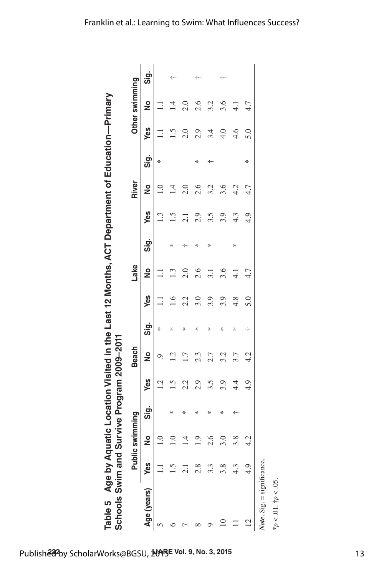| Ì<br>COLCOMO<br>ì<br>ו<br>ובות ה                                                      |                                                                                                                                         |
|---------------------------------------------------------------------------------------|-----------------------------------------------------------------------------------------------------------------------------------------|
| ' میله می: امیه: ۱/ ۱/ میم.<br>֖֪֪֚֚֚֚֚֚֚֚֚֚֚֚֚֚֚֚֚֚֚֚֚֚֚֚֚֚֚֚֚֚֡֬֡֟֓֡֟֓֡֟֟<br>L<br>l | ֧֖֧֦֧֦֧֦֧֧֦֧֧֦֧֦֧֝֘֝֝֝֬֓֓֓֝֬֓֓֝֓֝֓֝֓֝֓<br>֧֪֪֦֧֪֪֖֧֧֧֚֚֚֚֚֚֚֚֚֚֚֚֚֚֚֚֚֝֝֝֬֝֬֝֬֝֬֝֬֝<br>-<br>הממה מה<br><b>SAINS</b><br>:<br>)<br>)<br>ů |

|             |     | Public swimming  |      |                  | <b>Beach</b>     |      |     | Lake             |      |                  | River           |      |               | Other swimming |      |
|-------------|-----|------------------|------|------------------|------------------|------|-----|------------------|------|------------------|-----------------|------|---------------|----------------|------|
| Age (years) | Yes | $\frac{1}{2}$    | Sig. | Yes              | $\frac{1}{2}$    | Sig. | Yes | $\frac{1}{2}$    | Sig. | Yes              | $\frac{1}{2}$   | Sig. | Yes           | <u>S</u>       | Sig. |
| n           |     | $\overline{1.0}$ |      | 1.2              | Ο.               | ₩    | Ξ   | Ξ                |      | $1.\overline{3}$ | $\overline{0}$  | ₩    | Ξ             |                |      |
|             |     | $\overline{1.0}$ | ∗    | 1.5              | $\overline{12}$  | ∗    | 1.6 | 1.3              | ₩    | 1.5              | $\overline{14}$ |      | 1.5           | $\vec{a}$      | ÷    |
|             |     | $\vec{=}$        | ₩    | 2.2              | $\overline{1.7}$ | ₩    | 2.2 | 2.0              | ÷    | $\overline{c}$   | 2.0             |      | 2.0           | 2.0            |      |
|             |     | $\frac{9}{1}$    | ⋇    | 2.9              | 2.3              | ₩    | 3.0 | 2.6              | ∗    | 2.9              | 2.6             | ₩    | 2.9           | 2.6            | ÷    |
|             |     | 2.6              | ⋇    | $3.\overline{5}$ | 2.7              | ⋇    | 3.9 | 3.1              | ₩    | 3.5              | 3.2             |      | 3.4           | 3.2            |      |
|             | 3.8 | 3.0              | ₩    | 3.9              | 3.2              | ₩    | 3.9 | 3.6              |      | 3.9              | 3.6             |      | $\frac{0}{4}$ | 3.6            | ÷    |
|             | 4.3 | 3.8              | ⊹    | 4.4              | 3.7              | ₩    | 4.8 | $\overline{4.1}$ | ₩    | 4.3              | 4.2             |      | 4.6           | $\frac{1}{4}$  |      |
| S           | 4.9 | 4.2              |      | 4.9              | 4.2              | ÷    | 5.0 | 4.7              |      | 4.9              | 4.7             | ₩    | 5.0           | 4.7            |      |

*Note*. Sig. = significance.  $\frac{1}{2}$ <br> $\frac{1}{2}$   $\frac{1}{2}$   $\frac{1}{2}$   $\frac{1}{2}$   $\frac{1}{2}$   $\frac{1}{2}$   $\frac{1}{2}$   $\frac{1}{2}$   $\frac{1}{2}$   $\frac{1}{2}$   $\frac{1}{2}$   $\frac{1}{2}$   $\frac{1}{2}$   $\frac{1}{2}$   $\frac{1}{2}$   $\frac{1}{2}$   $\frac{1}{2}$   $\frac{1}{2}$   $\frac{1}{2}$   $\frac{1}{2}$   $\frac{1}{2}$ 

\**p* < .01. †*p* < .05.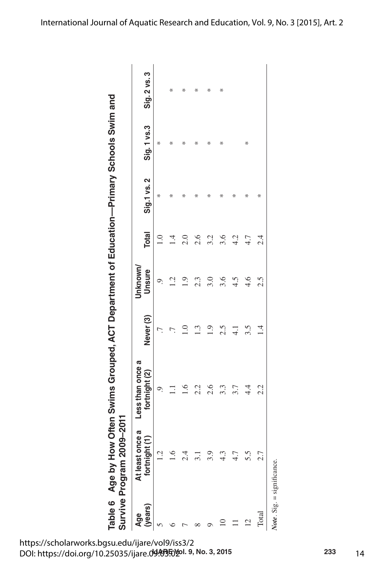Table 6 Age by How Often Swims Grouped, ACT Department of Education-Primary Schools Swim and **Age by How Often Swims Grouped, ACT Department of Education—Primary Schools Swim and** 

| Survive Program            | 2009-2011                                 |                                   |                      |                   |              |             |             |              |
|----------------------------|-------------------------------------------|-----------------------------------|----------------------|-------------------|--------------|-------------|-------------|--------------|
| (years)<br>Age             | At least once a<br>$\frac{1}{2}$<br>fortn | Less than once a<br>fortnight (2) | Never <sub>(3)</sub> | Jnknown<br>Unsure | <b>Total</b> | Sig.1 vs. 2 | Sig. 1 vs.3 | Sig. 2 vs. 3 |
|                            | 1.2                                       | ි.                                |                      |                   |              | ∗           | ₩           |              |
|                            | $\frac{6}{1}$                             | Ξ                                 |                      |                   | ニ<br>コ       | ⋇           | ⋇           | ∗            |
|                            | 2.4                                       | $\tilde{=}$                       | $\supseteq$          | $\frac{0}{1}$     | 2.0          | ∗           | ⊀           | $\ast$       |
|                            | $\frac{1}{2}$                             | 2.2                               | 1.3                  | 2.3               | 2.6          | ∗           | ∗           | ⊹            |
|                            | 3.9                                       | 2.6                               | $\frac{1}{2}$        | 3.0               | 3.2          | ⊹           | ⋇           | ⋇            |
|                            | 4.3                                       | 3.3                               | 2.5                  | 3.6               | 3.6          | ∗           | ∗           | ∗            |
|                            | 4.7                                       | 3.7                               | $\frac{1}{4}$        | 4.5               | 4.2          | ⊹           |             |              |
| 12                         | 5.5                                       | 4.4                               | 3.5                  | 4.6               | 4.7          | ∗           | ₩           |              |
| Total                      | 2.7                                       | 2.2                               | $\vec{v}$            | 2.5               | 2.4          | ₩           |             |              |
| Note. Sig. = significance. |                                           |                                   |                      |                   |              |             |             |              |

**IJARE Vol. 9, No. 3, 2015 233** DOI: https://doi.org/10.25035/ijare.09.03.02https://scholarworks.bgsu.edu/ijare/vol9/iss3/2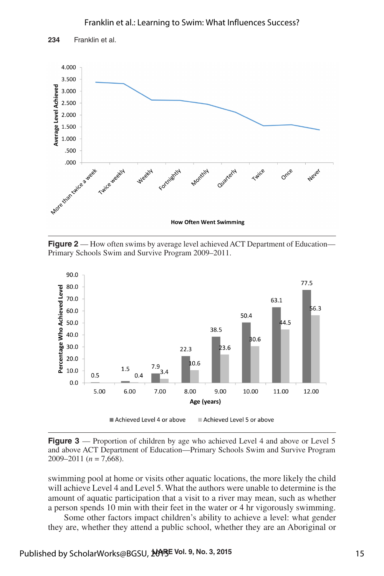#### Franklin et al.: Learning to Swim: What Influences Success?



**Figure 2** — How often swims by average level achieved ACT Department of Education-Primary Schools Swim and Survive Program 2009–2011.



**Figure 3** — Proportion of children by age who achieved Level 4 and above or Level 5 and above ACT Department of Education—Primary Schools Swim and Survive Program 2009–2011 (*n* = 7,668).

swimming pool at home or visits other aquatic locations, the more likely the child will achieve Level 4 and Level 5. What the authors were unable to determine is the amount of aquatic participation that a visit to a river may mean, such as whether a person spends 10 min with their feet in the water or 4 hr vigorously swimming.

Some other factors impact children's ability to achieve a level: what gender they are, whether they attend a public school, whether they are an Aboriginal or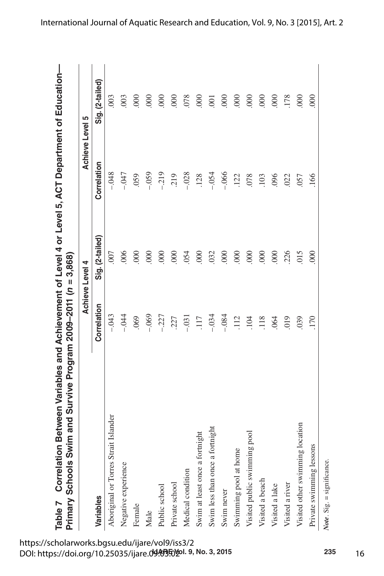|                                      |             | Achieve Level 4  |             | Achieve Level 5    |
|--------------------------------------|-------------|------------------|-------------|--------------------|
| Variables                            | Correlation | Sig. (2-tailed)  | Correlation | Sig. (2-tailed)    |
| Aboriginal or Torres Strait Islander | $-.043$     | .007             | $-048$      | .003               |
| Negative experience                  | $-.044$     | 006              | $-0.47$     | 003                |
| Female                               | .069        | $\overline{000}$ | 059         | 800                |
| Male                                 | $-.069$     | $8^{\circ}$      | $-0.59$     | $\overline{0}$     |
| Public school                        | $-.227$     | $\overline{000}$ | $-219$      | 000                |
| Private school                       | 227         | $\overline{000}$ | 219         | $\overline{000}$   |
| Medical condition                    | $-0.31$     | 054              | $-.028$     | 078                |
| Swim at least once a fortnight       | 117         | $\overline{000}$ | .128        | $\overline{000}$   |
| fortnight<br>Swim less than once a   | $-.034$     | 032              | $-.054$     | $\overline{5}$     |
| Swim never                           | $-.084$     | $\overline{000}$ | $-.066$     | $\overline{000}$   |
| Swimming pool at home                | .112        | $\infty$         | .122        | $\frac{000}{2000}$ |
| Visited public swimming pool         | 104         | $\overline{000}$ | .078        | $\overline{000}$   |
| Visited a beach                      | 118         | 000              | 103         | $\overline{000}$   |
| Visited a lake                       | .064        | 000              | 096         | $\overline{000}$   |
| Visited a river                      | 019         | 226              | 022         | 178                |
| ng location<br>Visited other swimmin | 039         | 015              | .057        | 600                |
| Private swimming lessons             | 170         | 600              | 166         | 600                |

*Note*. Sig. = significance.

Note. Sig. = significance.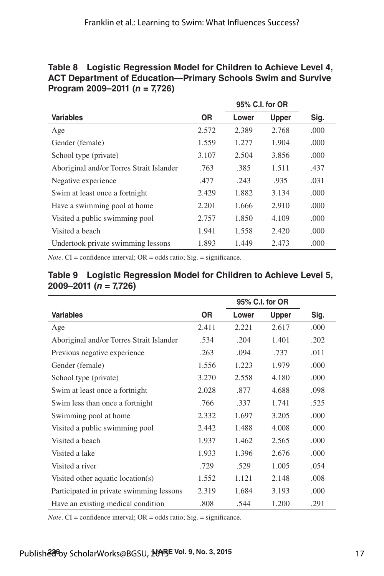#### **Table 8 Logistic Regression Model for Children to Achieve Level 4, ACT Department of Education—Primary Schools Swim and Survive Program 2009–2011 (***n* **= 7,726)**

|                                          |       | 95% C.I. for OR |              |      |
|------------------------------------------|-------|-----------------|--------------|------|
| <b>Variables</b>                         | 0R    | Lower           | <b>Upper</b> | Sig. |
| Age                                      | 2.572 | 2.389           | 2.768        | .000 |
| Gender (female)                          | 1.559 | 1.277           | 1.904        | .000 |
| School type (private)                    | 3.107 | 2.504           | 3.856        | .000 |
| Aboriginal and/or Torres Strait Islander | .763  | .385            | 1.511        | .437 |
| Negative experience                      | .477  | .243            | .935         | .031 |
| Swim at least once a fortnight           | 2.429 | 1.882           | 3.134        | .000 |
| Have a swimming pool at home             | 2.201 | 1.666           | 2.910        | .000 |
| Visited a public swimming pool           | 2.757 | 1.850           | 4.109        | .000 |
| Visited a beach                          | 1.941 | 1.558           | 2.420        | .000 |
| Undertook private swimming lessons       | 1.893 | 1.449           | 2.473        | .000 |

*Note*.  $CI =$  confidence interval;  $OR =$  odds ratio;  $Sig =$  significance.

|                                          |           |       | 95% C.I. for OR |      |
|------------------------------------------|-----------|-------|-----------------|------|
| <b>Variables</b>                         | <b>OR</b> | Lower | <b>Upper</b>    | Sig. |
| Age                                      | 2.411     | 2.221 | 2.617           | .000 |
| Aboriginal and/or Torres Strait Islander | .534      | .204  | 1.401           | .202 |
| Previous negative experience             | .263      | .094  | .737            | .011 |
| Gender (female)                          | 1.556     | 1.223 | 1.979           | .000 |
| School type (private)                    | 3.270     | 2.558 | 4.180           | .000 |
| Swim at least once a fortnight           | 2.028     | .877  | 4.688           | .098 |
| Swim less than once a fortnight          | .766      | .337  | 1.741           | .525 |
| Swimming pool at home                    | 2.332     | 1.697 | 3.205           | .000 |
| Visited a public swimming pool           | 2.442     | 1.488 | 4.008           | .000 |
| Visited a beach                          | 1.937     | 1.462 | 2.565           | .000 |
| Visited a lake                           | 1.933     | 1.396 | 2.676           | .000 |
| Visited a river                          | .729      | .529  | 1.005           | .054 |
| Visited other aquatic location(s)        | 1.552     | 1.121 | 2.148           | .008 |
| Participated in private swimming lessons | 2.319     | 1.684 | 3.193           | .000 |
| Have an existing medical condition       | .808      | .544  | 1.200           | .291 |

#### **Table 9 Logistic Regression Model for Children to Achieve Level 5, 2009–2011 (***n* **= 7,726)**

*Note*. CI = confidence interval; OR = odds ratio; Sig. = significance.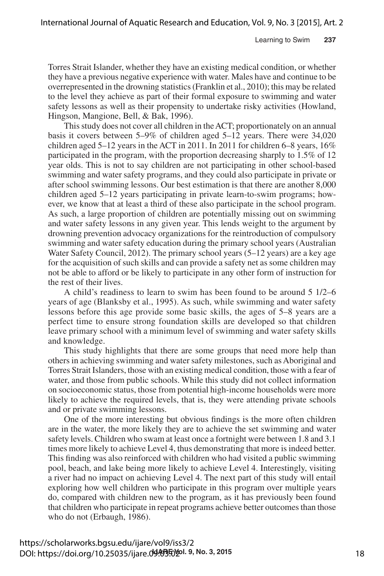Torres Strait Islander, whether they have an existing medical condition, or whether they have a previous negative experience with water. Males have and continue to be overrepresented in the drowning statistics (Franklin et al., 2010); this may be related to the level they achieve as part of their formal exposure to swimming and water safety lessons as well as their propensity to undertake risky activities (Howland, Hingson, Mangione, Bell, & Bak, 1996).

This study does not cover all children in the ACT; proportionately on an annual basis it covers between 5–9% of children aged 5–12 years. There were 34,020 children aged  $5-12$  years in the ACT in 2011. In 2011 for children 6–8 years,  $16\%$ participated in the program, with the proportion decreasing sharply to 1.5% of 12 year olds. This is not to say children are not participating in other school-based swimming and water safety programs, and they could also participate in private or after school swimming lessons. Our best estimation is that there are another 8,000 children aged 5–12 years participating in private learn-to-swim programs; however, we know that at least a third of these also participate in the school program. As such, a large proportion of children are potentially missing out on swimming and water safety lessons in any given year. This lends weight to the argument by drowning prevention advocacy organizations for the reintroduction of compulsory swimming and water safety education during the primary school years (Australian Water Safety Council, 2012). The primary school years (5–12 years) are a key age for the acquisition of such skills and can provide a safety net as some children may not be able to afford or be likely to participate in any other form of instruction for the rest of their lives.

A child's readiness to learn to swim has been found to be around 5 1/2–6 years of age (Blanksby et al., 1995). As such, while swimming and water safety lessons before this age provide some basic skills, the ages of 5–8 years are a perfect time to ensure strong foundation skills are developed so that children leave primary school with a minimum level of swimming and water safety skills and knowledge.

This study highlights that there are some groups that need more help than others in achieving swimming and water safety milestones, such as Aboriginal and Torres Strait Islanders, those with an existing medical condition, those with a fear of water, and those from public schools. While this study did not collect information on socioeconomic status, those from potential high-income households were more likely to achieve the required levels, that is, they were attending private schools and or private swimming lessons.

One of the more interesting but obvious findings is the more often children are in the water, the more likely they are to achieve the set swimming and water safety levels. Children who swam at least once a fortnight were between 1.8 and 3.1 times more likely to achieve Level 4, thus demonstrating that more is indeed better. This finding was also reinforced with children who had visited a public swimming pool, beach, and lake being more likely to achieve Level 4. Interestingly, visiting a river had no impact on achieving Level 4. The next part of this study will entail exploring how well children who participate in this program over multiple years do, compared with children new to the program, as it has previously been found that children who participate in repeat programs achieve better outcomes than those who do not (Erbaugh, 1986).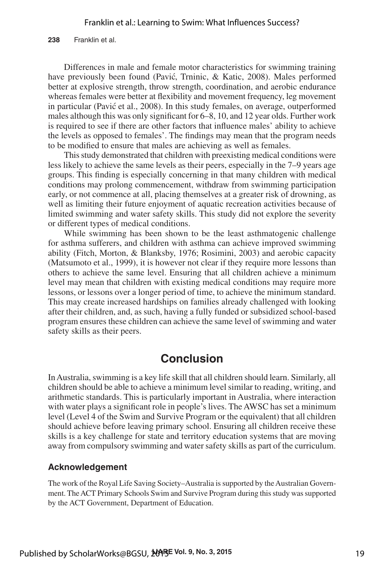**238** Franklin et al.

Differences in male and female motor characteristics for swimming training have previously been found (Pavić, Trninic, & Katic, 2008). Males performed better at explosive strength, throw strength, coordination, and aerobic endurance whereas females were better at flexibility and movement frequency, leg movement in particular (Pavić et al., 2008). In this study females, on average, outperformed males although this was only significant for 6–8, 10, and 12 year olds. Further work is required to see if there are other factors that influence males' ability to achieve the levels as opposed to females'. The findings may mean that the program needs to be modified to ensure that males are achieving as well as females.

This study demonstrated that children with preexisting medical conditions were less likely to achieve the same levels as their peers, especially in the 7–9 years age groups. This finding is especially concerning in that many children with medical conditions may prolong commencement, withdraw from swimming participation early, or not commence at all, placing themselves at a greater risk of drowning, as well as limiting their future enjoyment of aquatic recreation activities because of limited swimming and water safety skills. This study did not explore the severity or different types of medical conditions.

While swimming has been shown to be the least asthmatogenic challenge for asthma sufferers, and children with asthma can achieve improved swimming ability (Fitch, Morton, & Blanksby, 1976; Rosimini, 2003) and aerobic capacity (Matsumoto et al., 1999), it is however not clear if they require more lessons than others to achieve the same level. Ensuring that all children achieve a minimum level may mean that children with existing medical conditions may require more lessons, or lessons over a longer period of time, to achieve the minimum standard. This may create increased hardships on families already challenged with looking after their children, and, as such, having a fully funded or subsidized school-based program ensures these children can achieve the same level of swimming and water safety skills as their peers.

## **Conclusion**

In Australia, swimming is a key life skill that all children should learn. Similarly, all children should be able to achieve a minimum level similar to reading, writing, and arithmetic standards. This is particularly important in Australia, where interaction with water plays a significant role in people's lives. The AWSC has set a minimum level (Level 4 of the Swim and Survive Program or the equivalent) that all children should achieve before leaving primary school. Ensuring all children receive these skills is a key challenge for state and territory education systems that are moving away from compulsory swimming and water safety skills as part of the curriculum.

#### **Acknowledgement**

The work of the Royal Life Saving Society–Australia is supported by the Australian Government. The ACT Primary Schools Swim and Survive Program during this study was supported by the ACT Government, Department of Education.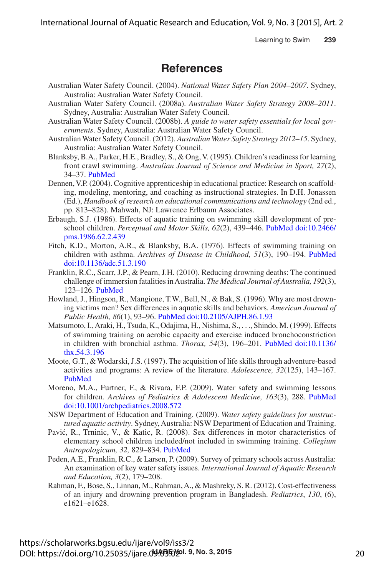International Journal of Aquatic Research and Education, Vol. 9, No. 3 [2015], Art. 2

Learning to Swim **239**

## **References**

- Australian Water Safety Council. (2004). *National Water Safety Plan 2004–2007*. Sydney, Australia: Australian Water Safety Council.
- Australian Water Safety Council. (2008a). *Australian Water Safety Strategy 2008–2011*. Sydney, Australia: Australian Water Safety Council.
- Australian Water Safety Council. (2008b). *A guide to water safety essentials for local governments*. Sydney, Australia: Australian Water Safety Council.
- Australian Water Safety Council. (2012). *Australian Water Safety Strategy 2012–15*. Sydney, Australia: Australian Water Safety Council.
- Blanksby, B.A., Parker, H.E., Bradley, S., & Ong, V. (1995). Children's readiness for learning front crawl swimming. *Australian Journal of Science and Medicine in Sport, 27*(2), 34–37. PubMed
- Dennen, V.P. (2004). Cognitive apprenticeship in educational practice: Research on scaffolding, modeling, mentoring, and coaching as instructional strategies. In D.H. Jonassen (Ed.), *Handbook of research on educational communications and technology* (2nd ed., pp. 813–828). Mahwah, NJ: Lawrence Erlbaum Associates.
- Erbaugh, S.J. (1986). Effects of aquatic training on swimming skill development of preschool children. *Perceptual and Motor Skills, 62*(2), 439–446. PubMed doi:10.2466/ pms.1986.62.2.439
- Fitch, K.D., Morton, A.R., & Blanksby, B.A. (1976). Effects of swimming training on children with asthma. *Archives of Disease in Childhood, 51*(3), 190–194. PubMed doi:10.1136/adc.51.3.190
- Franklin, R.C., Scarr, J.P., & Pearn, J.H. (2010). Reducing drowning deaths: The continued challenge of immersion fatalities in Australia. *The Medical Journal of Australia, 192*(3), 123–126. PubMed
- Howland, J., Hingson, R., Mangione, T.W., Bell, N., & Bak, S. (1996). Why are most drowning victims men? Sex differences in aquatic skills and behaviors. *American Journal of Public Health, 86*(1), 93–96. PubMed doi:10.2105/AJPH.86.1.93
- Matsumoto, I., Araki, H., Tsuda, K., Odajima, H., Nishima, S., . . ., Shindo, M. (1999). Effects of swimming training on aerobic capacity and exercise induced bronchoconstriction in children with bronchial asthma. *Thorax, 54*(3), 196–201. PubMed doi:10.1136/ thx.54.3.196
- Moote, G.T., & Wodarski, J.S. (1997). The acquisition of life skills through adventure-based activities and programs: A review of the literature. *Adolescence, 32*(125), 143–167. PubMed
- Moreno, M.A., Furtner, F., & Rivara, F.P. (2009). Water safety and swimming lessons for children. *Archives of Pediatrics & Adolescent Medicine, 163*(3), 288. PubMed doi:10.1001/archpediatrics.2008.572
- NSW Department of Education and Training. (2009). *Water safety guidelines for unstructured aquatic activity*. Sydney, Australia: NSW Department of Education and Training.
- Pavić, R., Trninic, V., & Katic, R. (2008). Sex differences in motor characteristics of elementary school children included/not included in swimming training. *Collegium Antropologicum, 32,* 829–834. PubMed
- Peden, A.E., Franklin, R.C., & Larsen, P. (2009). Survey of primary schools across Australia: An examination of key water safety issues. *International Journal of Aquatic Research and Education, 3*(2), 179–208.
- Rahman, F., Bose, S., Linnan, M., Rahman, A., & Mashreky, S. R. (2012). Cost-effectiveness of an injury and drowning prevention program in Bangladesh. *Pediatrics*, *130*, (6), e1621–e1628.

DOI: https://doi.org/10.25035/ijare.**09.035**@DMDI: 9, No. 3, 2015 https://scholarworks.bgsu.edu/ijare/vol9/iss3/2